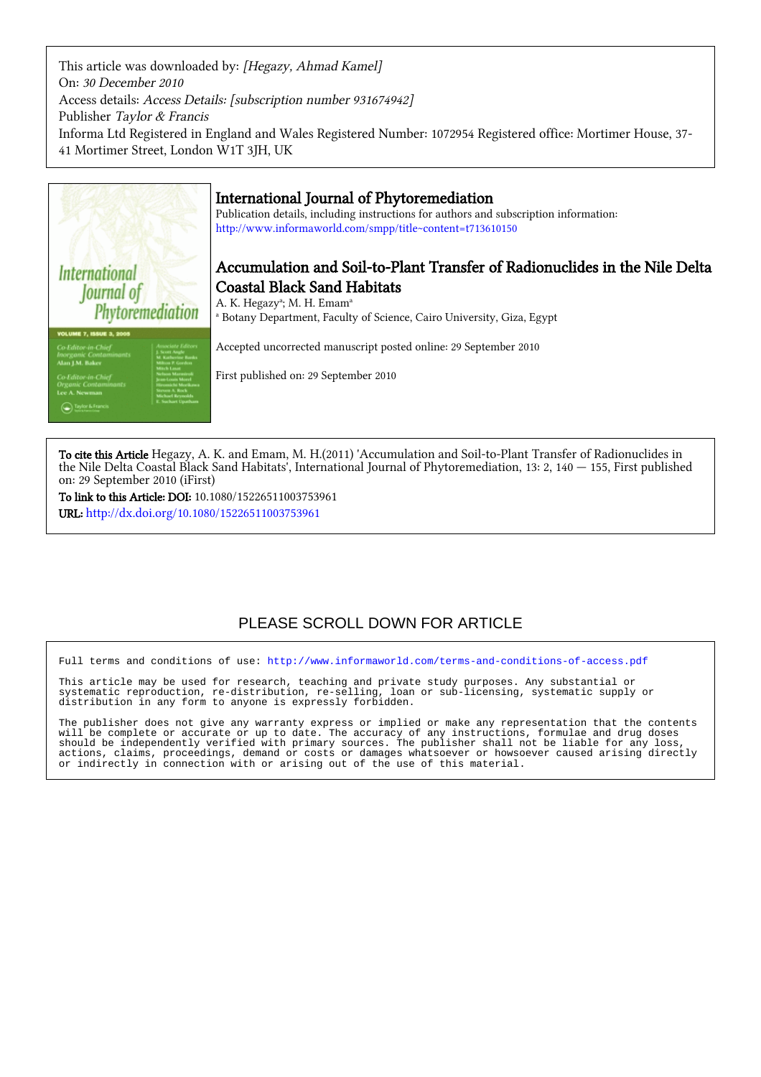This article was downloaded by: [Hegazy, Ahmad Kamel] On: 30 December 2010 Access details: Access Details: [subscription number 931674942] Publisher Taylor & Francis Informa Ltd Registered in England and Wales Registered Number: 1072954 Registered office: Mortimer House, 37- 41 Mortimer Street, London W1T 3JH, UK



## International Journal of Phytoremediation

Publication details, including instructions for authors and subscription information: <http://www.informaworld.com/smpp/title~content=t713610150>

# Accumulation and Soil-to-Plant Transfer of Radionuclides in the Nile Delta Coastal Black Sand Habitats

A. K. Hegazy<sup>a</sup>; M. H. Emam<sup>a</sup> a Botany Department, Faculty of Science, Cairo University, Giza, Egypt

Accepted uncorrected manuscript posted online: 29 September 2010

First published on: 29 September 2010

To cite this Article Hegazy, A. K. and Emam, M. H.(2011) 'Accumulation and Soil-to-Plant Transfer of Radionuclides in the Nile Delta Coastal Black Sand Habitats', International Journal of Phytoremediation, 13: 2, 140 — 155, First published on: 29 September 2010 (iFirst)

To link to this Article: DOI: 10.1080/15226511003753961 URL: <http://dx.doi.org/10.1080/15226511003753961>

# PLEASE SCROLL DOWN FOR ARTICLE

Full terms and conditions of use:<http://www.informaworld.com/terms-and-conditions-of-access.pdf>

This article may be used for research, teaching and private study purposes. Any substantial or systematic reproduction, re-distribution, re-selling, loan or sub-licensing, systematic supply or distribution in any form to anyone is expressly forbidden.

The publisher does not give any warranty express or implied or make any representation that the contents will be complete or accurate or up to date. The accuracy of any instructions, formulae and drug doses should be independently verified with primary sources. The publisher shall not be liable for any loss, actions, claims, proceedings, demand or costs or damages whatsoever or howsoever caused arising directly or indirectly in connection with or arising out of the use of this material.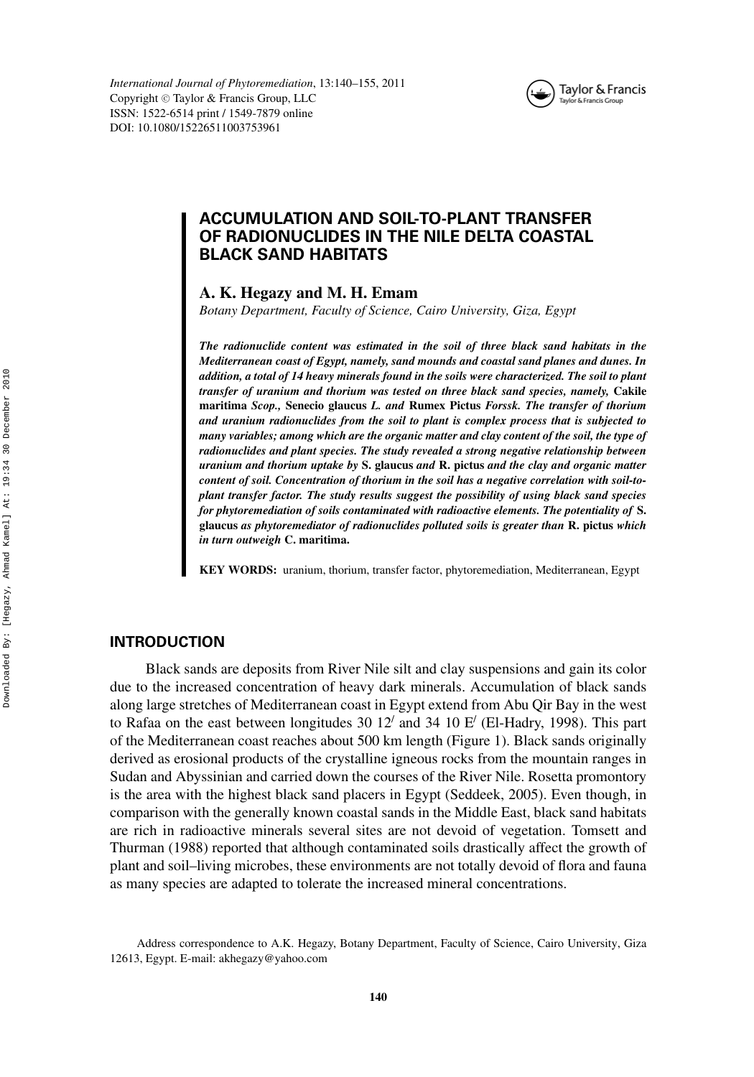

## **ACCUMULATION AND SOIL-TO-PLANT TRANSFER OF RADIONUCLIDES IN THE NILE DELTA COASTAL BLACK SAND HABITATS**

**A. K. Hegazy and M. H. Emam**

*Botany Department, Faculty of Science, Cairo University, Giza, Egypt*

*The radionuclide content was estimated in the soil of three black sand habitats in the Mediterranean coast of Egypt, namely, sand mounds and coastal sand planes and dunes. In addition, a total of 14 heavy minerals found in the soils were characterized. The soil to plant transfer of uranium and thorium was tested on three black sand species, namely,* **Cakile maritima** *Scop.,* **Senecio glaucus** *L. and* **Rumex Pictus** *Forssk. The transfer of thorium and uranium radionuclides from the soil to plant is complex process that is subjected to many variables; among which are the organic matter and clay content of the soil, the type of radionuclides and plant species. The study revealed a strong negative relationship between uranium and thorium uptake by* **S. glaucus** *and* **R. pictus** *and the clay and organic matter content of soil. Concentration of thorium in the soil has a negative correlation with soil-toplant transfer factor. The study results suggest the possibility of using black sand species for phytoremediation of soils contaminated with radioactive elements. The potentiality of* **S. glaucus** *as phytoremediator of radionuclides polluted soils is greater than* **R. pictus** *which in turn outweigh* **C. maritima.**

**KEY WORDS:** uranium, thorium, transfer factor, phytoremediation, Mediterranean, Egypt

#### **INTRODUCTION**

Black sands are deposits from River Nile silt and clay suspensions and gain its color due to the increased concentration of heavy dark minerals. Accumulation of black sands along large stretches of Mediterranean coast in Egypt extend from Abu Qir Bay in the west to Rafaa on the east between longitudes 30 12' and 34 10  $E'$  (El-Hadry, 1998). This part of the Mediterranean coast reaches about 500 km length (Figure 1). Black sands originally derived as erosional products of the crystalline igneous rocks from the mountain ranges in Sudan and Abyssinian and carried down the courses of the River Nile. Rosetta promontory is the area with the highest black sand placers in Egypt (Seddeek, 2005). Even though, in comparison with the generally known coastal sands in the Middle East, black sand habitats are rich in radioactive minerals several sites are not devoid of vegetation. Tomsett and Thurman (1988) reported that although contaminated soils drastically affect the growth of plant and soil–living microbes, these environments are not totally devoid of flora and fauna as many species are adapted to tolerate the increased mineral concentrations.

Address correspondence to A.K. Hegazy, Botany Department, Faculty of Science, Cairo University, Giza 12613, Egypt. E-mail: akhegazy@yahoo.com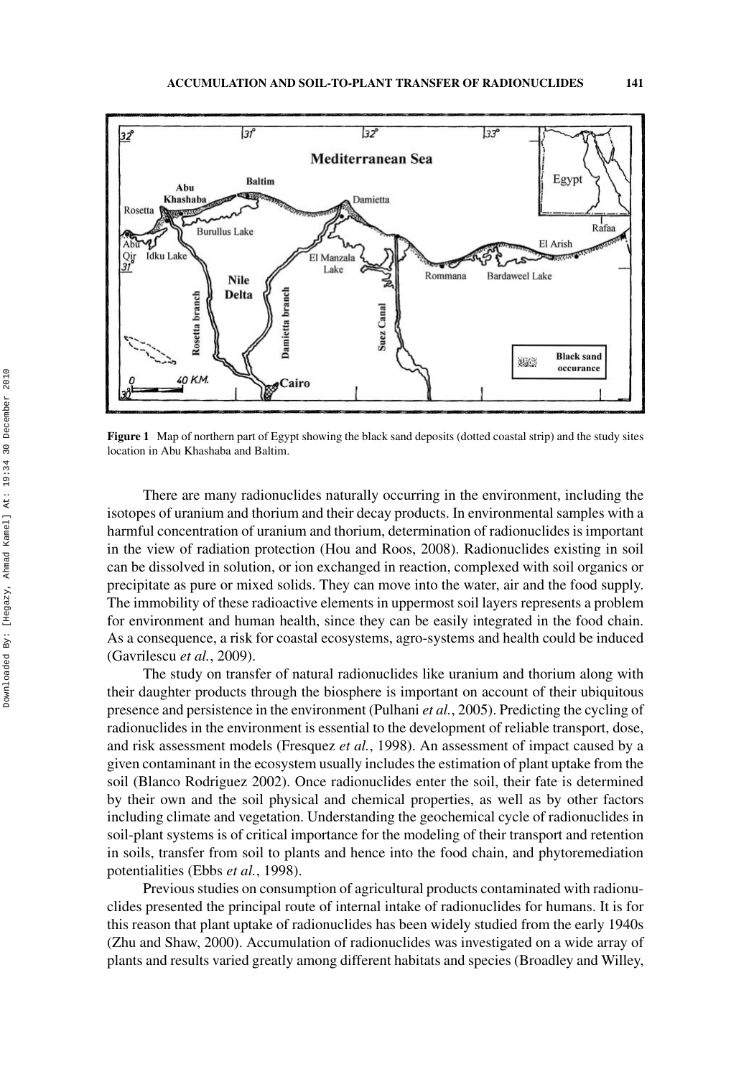

**Figure 1** Map of northern part of Egypt showing the black sand deposits (dotted coastal strip) and the study sites location in Abu Khashaba and Baltim.

There are many radionuclides naturally occurring in the environment, including the isotopes of uranium and thorium and their decay products. In environmental samples with a harmful concentration of uranium and thorium, determination of radionuclides is important in the view of radiation protection (Hou and Roos, 2008). Radionuclides existing in soil can be dissolved in solution, or ion exchanged in reaction, complexed with soil organics or precipitate as pure or mixed solids. They can move into the water, air and the food supply. The immobility of these radioactive elements in uppermost soil layers represents a problem for environment and human health, since they can be easily integrated in the food chain. As a consequence, a risk for coastal ecosystems, agro-systems and health could be induced (Gavrilescu *et al.*, 2009).

The study on transfer of natural radionuclides like uranium and thorium along with their daughter products through the biosphere is important on account of their ubiquitous presence and persistence in the environment (Pulhani *et al.*, 2005). Predicting the cycling of radionuclides in the environment is essential to the development of reliable transport, dose, and risk assessment models (Fresquez *et al.*, 1998). An assessment of impact caused by a given contaminant in the ecosystem usually includes the estimation of plant uptake from the soil (Blanco Rodriguez 2002). Once radionuclides enter the soil, their fate is determined by their own and the soil physical and chemical properties, as well as by other factors including climate and vegetation. Understanding the geochemical cycle of radionuclides in soil-plant systems is of critical importance for the modeling of their transport and retention in soils, transfer from soil to plants and hence into the food chain, and phytoremediation potentialities (Ebbs *et al.*, 1998).

Previous studies on consumption of agricultural products contaminated with radionuclides presented the principal route of internal intake of radionuclides for humans. It is for this reason that plant uptake of radionuclides has been widely studied from the early 1940s (Zhu and Shaw, 2000). Accumulation of radionuclides was investigated on a wide array of plants and results varied greatly among different habitats and species (Broadley and Willey,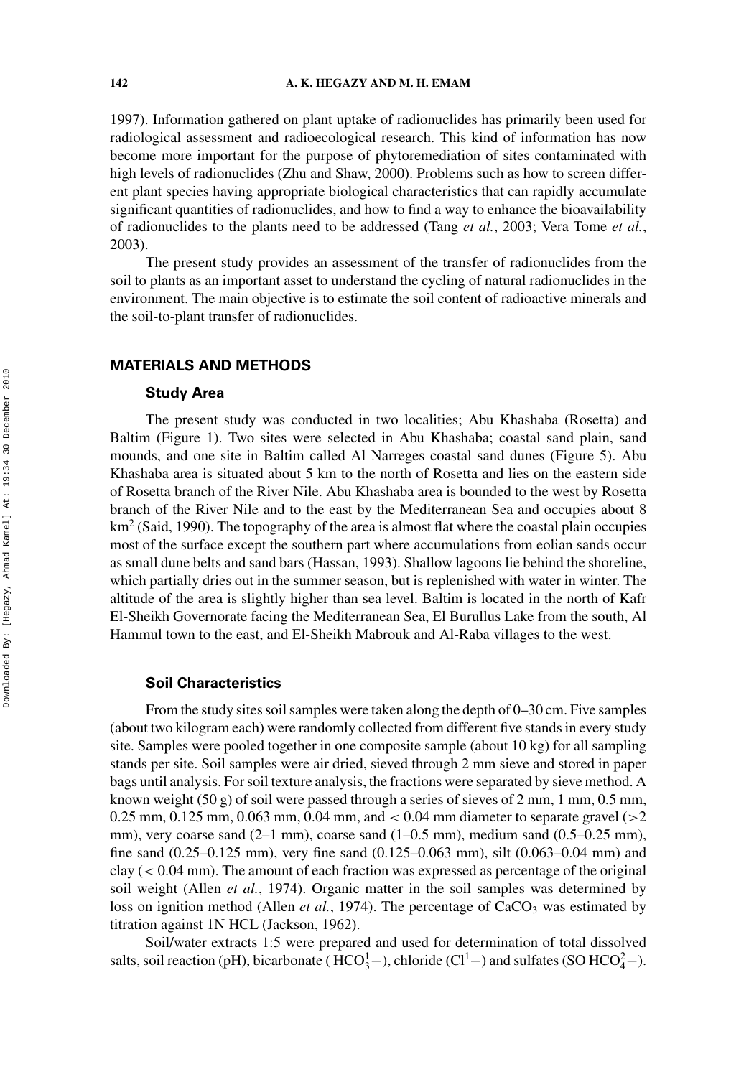1997). Information gathered on plant uptake of radionuclides has primarily been used for radiological assessment and radioecological research. This kind of information has now become more important for the purpose of phytoremediation of sites contaminated with high levels of radionuclides (Zhu and Shaw, 2000). Problems such as how to screen different plant species having appropriate biological characteristics that can rapidly accumulate significant quantities of radionuclides, and how to find a way to enhance the bioavailability of radionuclides to the plants need to be addressed (Tang *et al.*, 2003; Vera Tome *et al.*, 2003).

The present study provides an assessment of the transfer of radionuclides from the soil to plants as an important asset to understand the cycling of natural radionuclides in the environment. The main objective is to estimate the soil content of radioactive minerals and the soil-to-plant transfer of radionuclides.

## **MATERIALS AND METHODS**

#### **Study Area**

The present study was conducted in two localities; Abu Khashaba (Rosetta) and Baltim (Figure 1). Two sites were selected in Abu Khashaba; coastal sand plain, sand mounds, and one site in Baltim called Al Narreges coastal sand dunes (Figure 5). Abu Khashaba area is situated about 5 km to the north of Rosetta and lies on the eastern side of Rosetta branch of the River Nile. Abu Khashaba area is bounded to the west by Rosetta branch of the River Nile and to the east by the Mediterranean Sea and occupies about 8  $km<sup>2</sup>$  (Said, 1990). The topography of the area is almost flat where the coastal plain occupies most of the surface except the southern part where accumulations from eolian sands occur as small dune belts and sand bars (Hassan, 1993). Shallow lagoons lie behind the shoreline, which partially dries out in the summer season, but is replenished with water in winter. The altitude of the area is slightly higher than sea level. Baltim is located in the north of Kafr El-Sheikh Governorate facing the Mediterranean Sea, El Burullus Lake from the south, Al Hammul town to the east, and El-Sheikh Mabrouk and Al-Raba villages to the west.

#### **Soil Characteristics**

From the study sites soil samples were taken along the depth of 0–30 cm. Five samples (about two kilogram each) were randomly collected from different five stands in every study site. Samples were pooled together in one composite sample (about 10 kg) for all sampling stands per site. Soil samples were air dried, sieved through 2 mm sieve and stored in paper bags until analysis. For soil texture analysis, the fractions were separated by sieve method. A known weight  $(50 \text{ g})$  of soil were passed through a series of sieves of 2 mm, 1 mm, 0.5 mm, 0.25 mm, 0.125 mm, 0.063 mm, 0.04 mm, and *<* 0.04 mm diameter to separate gravel (*>*2 mm), very coarse sand  $(2-1 \text{ mm})$ , coarse sand  $(1-0.5 \text{ mm})$ , medium sand  $(0.5-0.25 \text{ mm})$ , fine sand (0.25–0.125 mm), very fine sand (0.125–0.063 mm), silt (0.063–0.04 mm) and clay (*<* 0.04 mm). The amount of each fraction was expressed as percentage of the original soil weight (Allen *et al.*, 1974). Organic matter in the soil samples was determined by loss on ignition method (Allen *et al.*, 1974). The percentage of  $CaCO<sub>3</sub>$  was estimated by titration against 1N HCL (Jackson, 1962).

Soil/water extracts 1:5 were prepared and used for determination of total dissolved salts, soil reaction (pH), bicarbonate ( $HCO_3^1$ –), chloride (Cl<sup>1</sup>–) and sulfates (SO  $HCO_4^2$ –).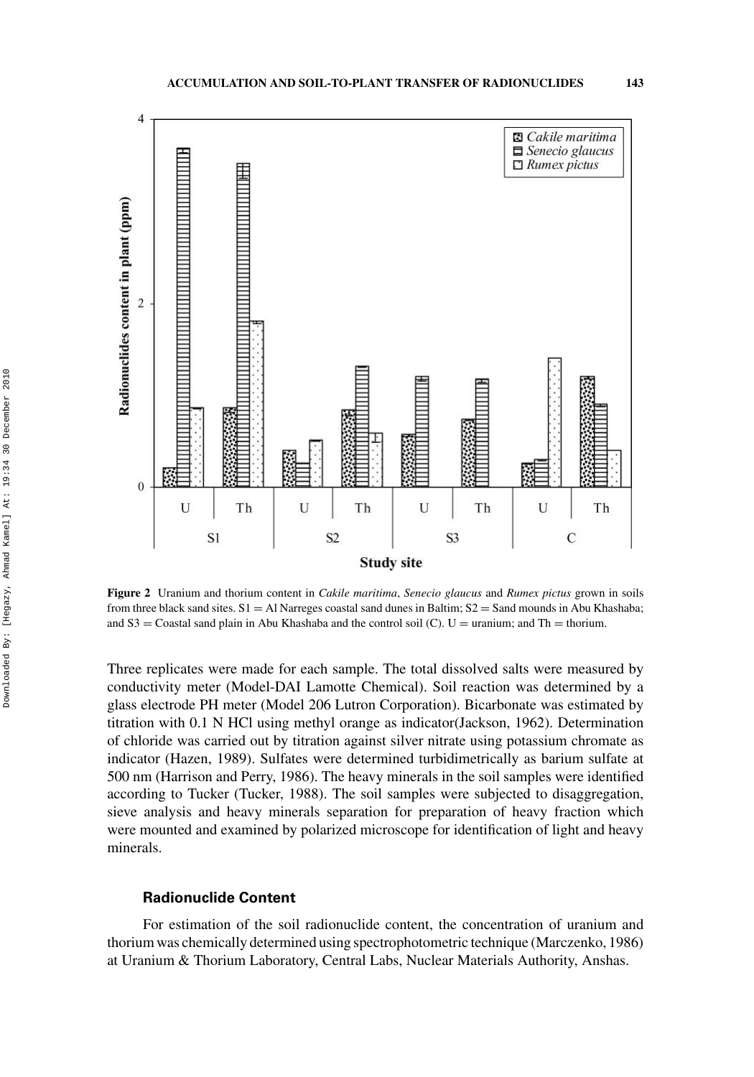

**Figure 2** Uranium and thorium content in *Cakile maritima*, *Senecio glaucus* and *Rumex pictus* grown in soils from three black sand sites.  $S1 = AI$  Narreges coastal sand dunes in Baltim;  $S2 = Sand$  mounds in Abu Khashaba; and  $S3 =$  Coastal sand plain in Abu Khashaba and the control soil (C). U = uranium; and Th = thorium.

Three replicates were made for each sample. The total dissolved salts were measured by conductivity meter (Model-DAI Lamotte Chemical). Soil reaction was determined by a glass electrode PH meter (Model 206 Lutron Corporation). Bicarbonate was estimated by titration with 0.1 N HCl using methyl orange as indicator(Jackson, 1962). Determination of chloride was carried out by titration against silver nitrate using potassium chromate as indicator (Hazen, 1989). Sulfates were determined turbidimetrically as barium sulfate at 500 nm (Harrison and Perry, 1986). The heavy minerals in the soil samples were identified according to Tucker (Tucker, 1988). The soil samples were subjected to disaggregation, sieve analysis and heavy minerals separation for preparation of heavy fraction which were mounted and examined by polarized microscope for identification of light and heavy minerals.

### **Radionuclide Content**

For estimation of the soil radionuclide content, the concentration of uranium and thorium was chemically determined using spectrophotometric technique (Marczenko, 1986) at Uranium & Thorium Laboratory, Central Labs, Nuclear Materials Authority, Anshas.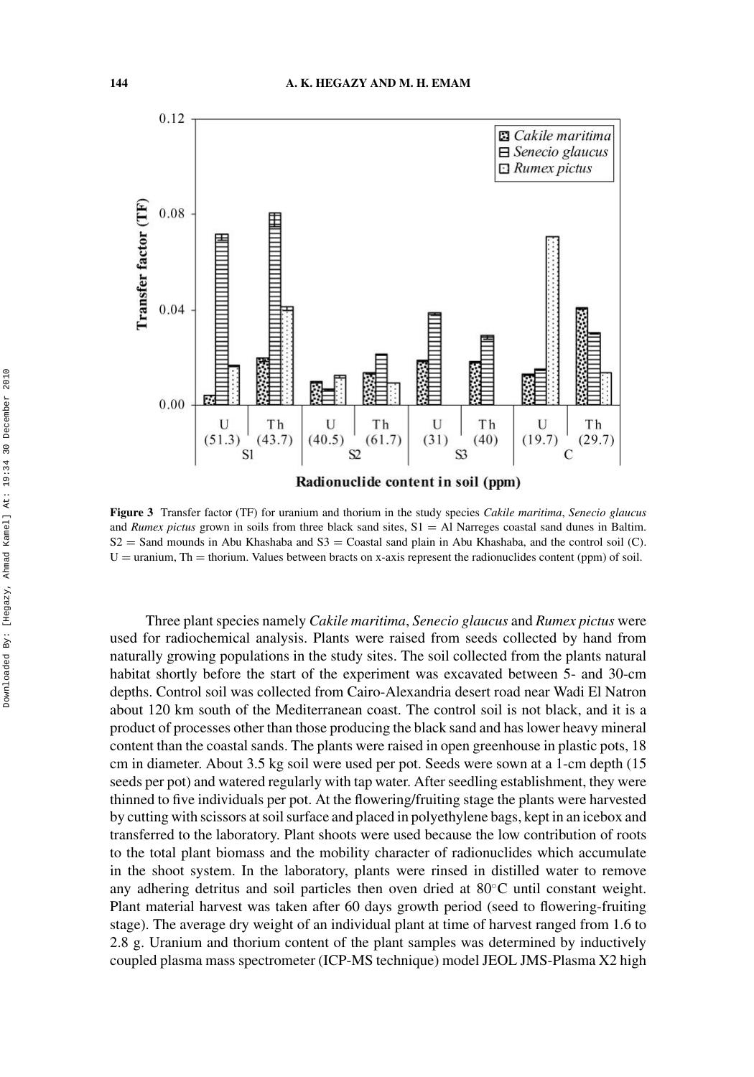

**Figure 3** Transfer factor (TF) for uranium and thorium in the study species *Cakile maritima*, *Senecio glaucus* and *Rumex pictus* grown in soils from three black sand sites,  $S1 = AI$  Narreges coastal sand dunes in Baltim.  $S2 =$  Sand mounds in Abu Khashaba and  $S3 =$  Coastal sand plain in Abu Khashaba, and the control soil (C).  $U =$  uranium, Th = thorium. Values between bracts on x-axis represent the radionuclides content (ppm) of soil.

Three plant species namely *Cakile maritima*, *Senecio glaucus* and *Rumex pictus* were used for radiochemical analysis. Plants were raised from seeds collected by hand from naturally growing populations in the study sites. The soil collected from the plants natural habitat shortly before the start of the experiment was excavated between 5- and 30-cm depths. Control soil was collected from Cairo-Alexandria desert road near Wadi El Natron about 120 km south of the Mediterranean coast. The control soil is not black, and it is a product of processes other than those producing the black sand and has lower heavy mineral content than the coastal sands. The plants were raised in open greenhouse in plastic pots, 18 cm in diameter. About 3.5 kg soil were used per pot. Seeds were sown at a 1-cm depth (15 seeds per pot) and watered regularly with tap water. After seedling establishment, they were thinned to five individuals per pot. At the flowering/fruiting stage the plants were harvested by cutting with scissors at soil surface and placed in polyethylene bags, kept in an icebox and transferred to the laboratory. Plant shoots were used because the low contribution of roots to the total plant biomass and the mobility character of radionuclides which accumulate in the shoot system. In the laboratory, plants were rinsed in distilled water to remove any adhering detritus and soil particles then oven dried at 80◦C until constant weight. Plant material harvest was taken after 60 days growth period (seed to flowering-fruiting stage). The average dry weight of an individual plant at time of harvest ranged from 1.6 to 2.8 g. Uranium and thorium content of the plant samples was determined by inductively coupled plasma mass spectrometer (ICP-MS technique) model JEOL JMS-Plasma X2 high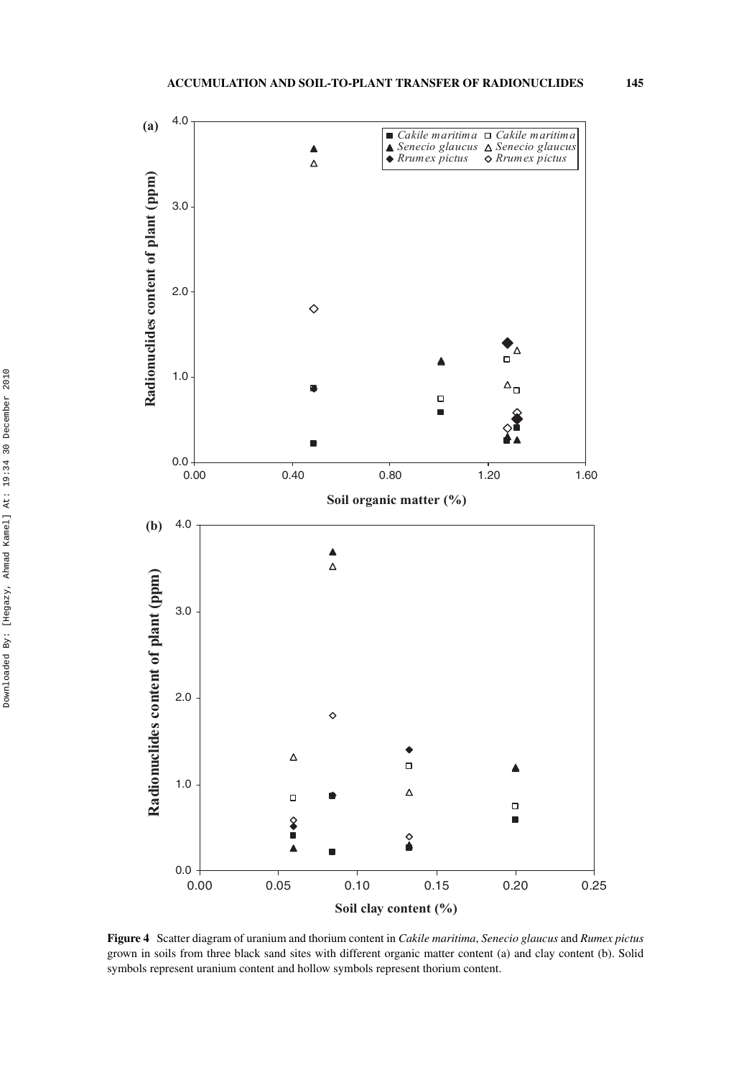

**Figure 4** Scatter diagram of uranium and thorium content in *Cakile maritima*, *Senecio glaucus* and *Rumex pictus* grown in soils from three black sand sites with different organic matter content (a) and clay content (b). Solid symbols represent uranium content and hollow symbols represent thorium content.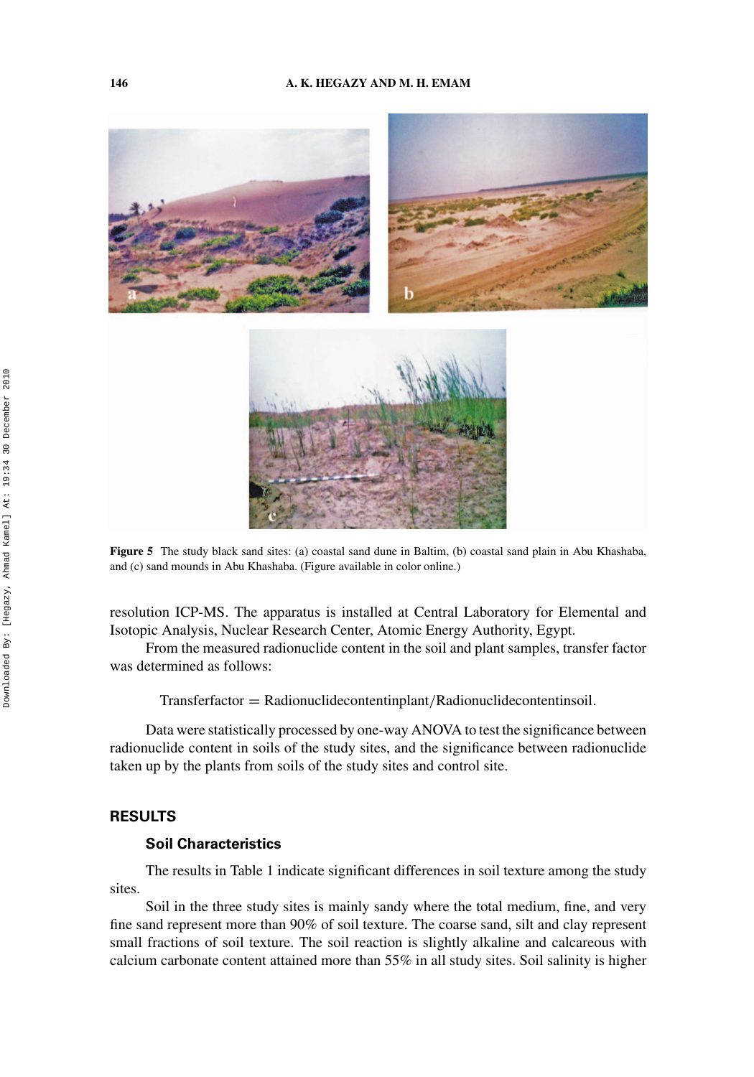

**Figure 5** The study black sand sites: (a) coastal sand dune in Baltim, (b) coastal sand plain in Abu Khashaba, and (c) sand mounds in Abu Khashaba. (Figure available in color online.)

resolution ICP-MS. The apparatus is installed at Central Laboratory for Elemental and Isotopic Analysis, Nuclear Research Center, Atomic Energy Authority, Egypt.

From the measured radionuclide content in the soil and plant samples, transfer factor was determined as follows:

Transferfactor = Radionuclidecontentinplant*/*Radionuclidecontentinsoil*.*

Data were statistically processed by one-way ANOVA to test the significance between radionuclide content in soils of the study sites, and the significance between radionuclide taken up by the plants from soils of the study sites and control site.

## **RESULTS**

## **Soil Characteristics**

The results in Table 1 indicate significant differences in soil texture among the study sites.

Soil in the three study sites is mainly sandy where the total medium, fine, and very fine sand represent more than 90% of soil texture. The coarse sand, silt and clay represent small fractions of soil texture. The soil reaction is slightly alkaline and calcareous with calcium carbonate content attained more than 55% in all study sites. Soil salinity is higher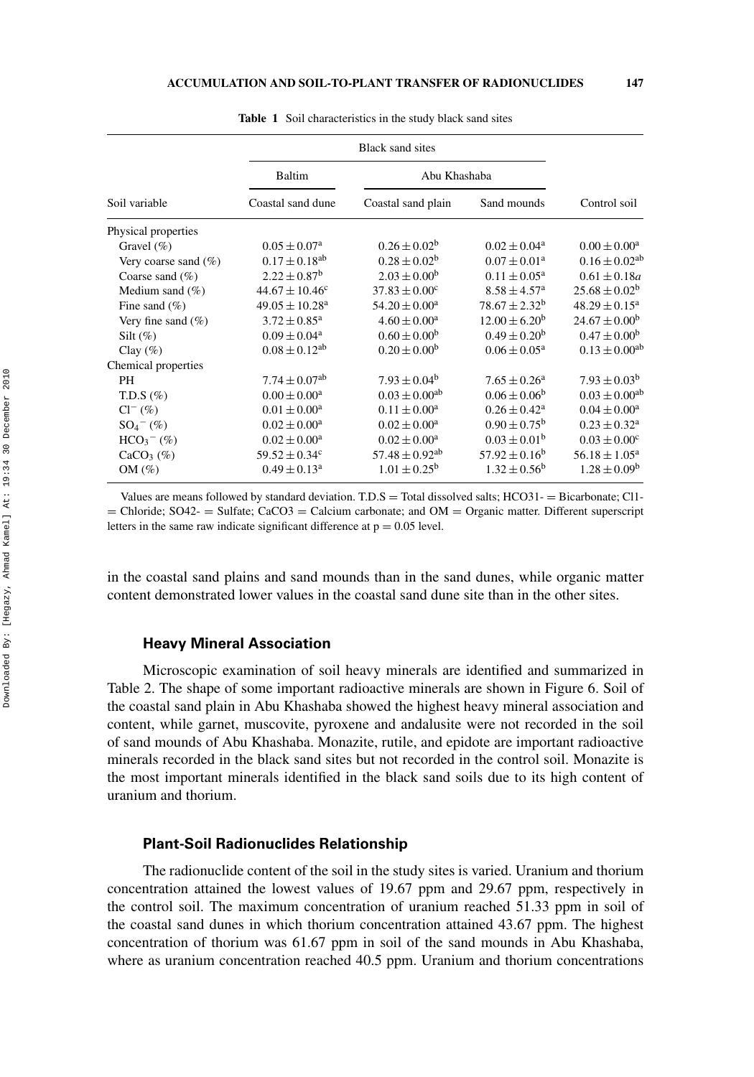| Baltim                         |                                |                            |                          |
|--------------------------------|--------------------------------|----------------------------|--------------------------|
| Coastal sand dune              | Coastal sand plain             | Sand mounds                | Control soil             |
|                                |                                |                            |                          |
| $0.05 \pm 0.07^{\rm a}$        | $0.26 \pm 0.02^b$              | $0.02 \pm 0.04^a$          | $0.00 \pm 0.00^a$        |
| $0.17 \pm 0.18^{ab}$           | $0.28 \pm 0.02^b$              | $0.07 \pm 0.01^a$          | $0.16 \pm 0.02^{ab}$     |
| $2.22 \pm 0.87^{\rm b}$        | $2.03 \pm 0.00^b$              | $0.11 \pm 0.05^{\text{a}}$ | $0.61\pm0.18a$           |
| $44.67 \pm 10.46^{\circ}$      | $37.83 \pm 0.00^c$             | $8.58 \pm 4.57^{\rm a}$    | $25.68 \pm 0.02^b$       |
| $49.05 \pm 10.28$ <sup>a</sup> | $54.20 \pm 0.00^a$             | $78.67 \pm 2.32^b$         | $48.29 \pm 0.15^a$       |
| $3.72\pm0.85^{\rm a}$          | $4.60 \pm 0.00^a$              | $12.00 \pm 6.20^b$         | $24.67 \pm 0.00^b$       |
| $0.09 \pm 0.04^a$              | $0.60 \pm 0.00^b$              | $0.49 \pm 0.20^b$          | $0.47 \pm 0.00^b$        |
| $0.08 \pm 0.12^{ab}$           | $0.20 \pm 0.00^b$              | $0.06 \pm 0.05^a$          | $0.13 \pm 0.00^{ab}$     |
|                                |                                |                            |                          |
| $7.74 \pm 0.07$ <sup>ab</sup>  | $7.93 \pm 0.04^b$              | $7.65 \pm 0.26^a$          | $7.93 \pm 0.03^b$        |
| $0.00 \pm 0.00^a$              | $0.03 \pm 0.00^{ab}$           | $0.06 \pm 0.06^b$          | $0.03 \pm 0.00^{ab}$     |
| $0.01 \pm 0.00^a$              | $0.11 \pm 0.00^a$              | $0.26 \pm 0.42^a$          | $0.04 \pm 0.00^a$        |
| $0.02 \pm 0.00^a$              | $0.02 \pm 0.00^a$              | $0.90 \pm 0.75^{\rm b}$    | $0.23 \pm 0.32^a$        |
| $0.02 \pm 0.00^a$              | $0.02 \pm 0.00^a$              | $0.03 \pm 0.01^b$          | $0.03 \pm 0.00^c$        |
| $59.52 \pm 0.34^c$             | $57.48 \pm 0.92$ <sup>ab</sup> | $57.92 \pm 0.16^b$         | $56.18 \pm 1.05^{\rm a}$ |
| $0.49 \pm 0.13^a$              | $1.01 \pm 0.25^{\rm b}$        | $1.32 \pm 0.56^b$          | $1.28 \pm 0.09^b$        |
|                                |                                | <b>Black sand sites</b>    | Abu Khashaba             |

**Table 1** Soil characteristics in the study black sand sites

Values are means followed by standard deviation.  $T.D.S = Total dissolved$  salts;  $HCO31 = Bicarbonate$ ;  $Cl1 =$  Chloride; SO42-  $=$  Sulfate; CaCO3  $=$  Calcium carbonate; and OM  $=$  Organic matter. Different superscript letters in the same raw indicate significant difference at  $p = 0.05$  level.

in the coastal sand plains and sand mounds than in the sand dunes, while organic matter content demonstrated lower values in the coastal sand dune site than in the other sites.

## **Heavy Mineral Association**

Microscopic examination of soil heavy minerals are identified and summarized in Table 2. The shape of some important radioactive minerals are shown in Figure 6. Soil of the coastal sand plain in Abu Khashaba showed the highest heavy mineral association and content, while garnet, muscovite, pyroxene and andalusite were not recorded in the soil of sand mounds of Abu Khashaba. Monazite, rutile, and epidote are important radioactive minerals recorded in the black sand sites but not recorded in the control soil. Monazite is the most important minerals identified in the black sand soils due to its high content of uranium and thorium.

## **Plant-Soil Radionuclides Relationship**

The radionuclide content of the soil in the study sites is varied. Uranium and thorium concentration attained the lowest values of 19.67 ppm and 29.67 ppm, respectively in the control soil. The maximum concentration of uranium reached 51.33 ppm in soil of the coastal sand dunes in which thorium concentration attained 43.67 ppm. The highest concentration of thorium was 61.67 ppm in soil of the sand mounds in Abu Khashaba, where as uranium concentration reached 40.5 ppm. Uranium and thorium concentrations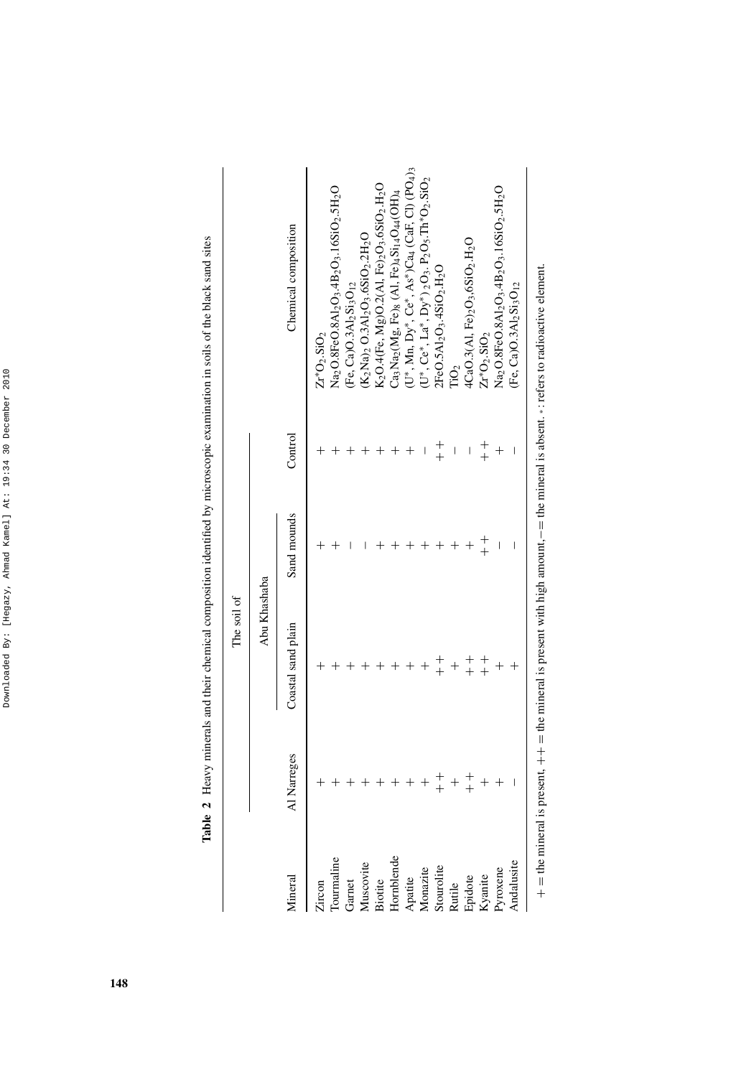| ¢<br>֚<br>t<br>¢<br>ı<br>I    |
|-------------------------------|
| ֠<br>l                        |
| ć                             |
| ı                             |
| ί                             |
| ֠<br>I<br>$\overline{a}$<br>i |
| i                             |
| ֬֕֕<br>ì<br>I                 |
| ì<br>ś                        |
| ֚֚֬֕֕                         |

| i                                                   |
|-----------------------------------------------------|
| Ï                                                   |
|                                                     |
|                                                     |
| ֧֦֧֦֧֦֧֦֧֦֧֦֧֦֧֦֧֦֧֦֧֦֧֦֧֜ <b>֓</b>                 |
|                                                     |
| i<br>control                                        |
| $\ddot{\phantom{0}}$                                |
| ֡֡֡֡֡֡֡֡                                            |
| $\alpha$ of the state $\alpha$ is a set of $\alpha$ |
|                                                     |
| hu minnoonnin avr<br>١                              |
|                                                     |
|                                                     |
|                                                     |
|                                                     |
| 10T<br>i<br>へんきん                                    |
|                                                     |
| C 2000 4 00 C                                       |
| j                                                   |
| j                                                   |
| i                                                   |
|                                                     |
| į<br>Ì                                              |
| j<br>į<br>ì                                         |
| ¢<br>Į                                              |
| Table                                               |

The soil of

The soil of  $\,$ 

|                   |             | Abu Khashaba       |             |         |                                                                             |
|-------------------|-------------|--------------------|-------------|---------|-----------------------------------------------------------------------------|
| Mineral           | Al Narreges | Coastal sand plain | Sand mounds | Control | Chemical composition                                                        |
| Zircon            |             |                    |             |         | $Z_{I}^{*}O_{2}.SiO_{2}$                                                    |
| <b>Courmaline</b> |             |                    |             |         | Na2O.8FeO.8Al2O3.4B2O3.16SiO2.5H2O                                          |
| Garnet            |             |                    |             |         | Fe, $Ca$ ) $O.3Al2Si3O12$                                                   |
| Muscovite         |             |                    |             |         | K2Na)2 O.3Al2O3.6SiO2.2H2O                                                  |
| Biotite           |             |                    |             |         | K2O.4(Fe, Mg)O.2(Al, Fe)2O3.6SiO2.H2O                                       |
| Hornblende        |             |                    |             |         | $\mathrm{Ca_{3}Na_{2}(Mg,\,Fe)_8}$ (Al, Fe)4 $\mathrm{Si_{14}O_{44}(OH)_4}$ |
| Apatite           |             |                    |             |         | $U^*$ , Mn, Dy*, Ce*, As*)Ca4 (CaF, Cl) (PO4)                               |
| Monazite          |             |                    |             |         | $U^*, Ce^*, La^*, Dy^*)_2O_3$ . $P_2O_5$ . $Th^*O_2$ . $SiO_2$              |
| Stourolite        |             |                    |             | $+$     | $2FeO.5Al2O3.4SiO2.H2O$                                                     |
| Rutile            |             |                    |             |         | $\overline{\text{no}}_2$                                                    |
| Epidote           | $+$         |                    |             | I       | 4CaO.3(A1, Fe)2O3,6SiO2.H2O                                                 |
| Kyanite           |             |                    | $+$         | $+$     | $Zr^*O_2.SIO_2$                                                             |
| Pyroxene          |             |                    |             |         | Na2O.8FeO.8A12O3.4B2O3.16SiO2.5H2O                                          |
| Andalusite        |             |                    | I           | I       | $[Fe, Ca$ ) $O.3Al2Si3O12$                                                  |
|                   |             |                    |             |         |                                                                             |

 $+$  = the mineral is present,  $++$  = the mineral is present with high amount,  $-$  = the mineral is absent. \*: refers to radioactive element. + = the mineral is present, ++ = the mineral is present with high amount,−= the mineral is absent. ∗ : refers to radioactive element.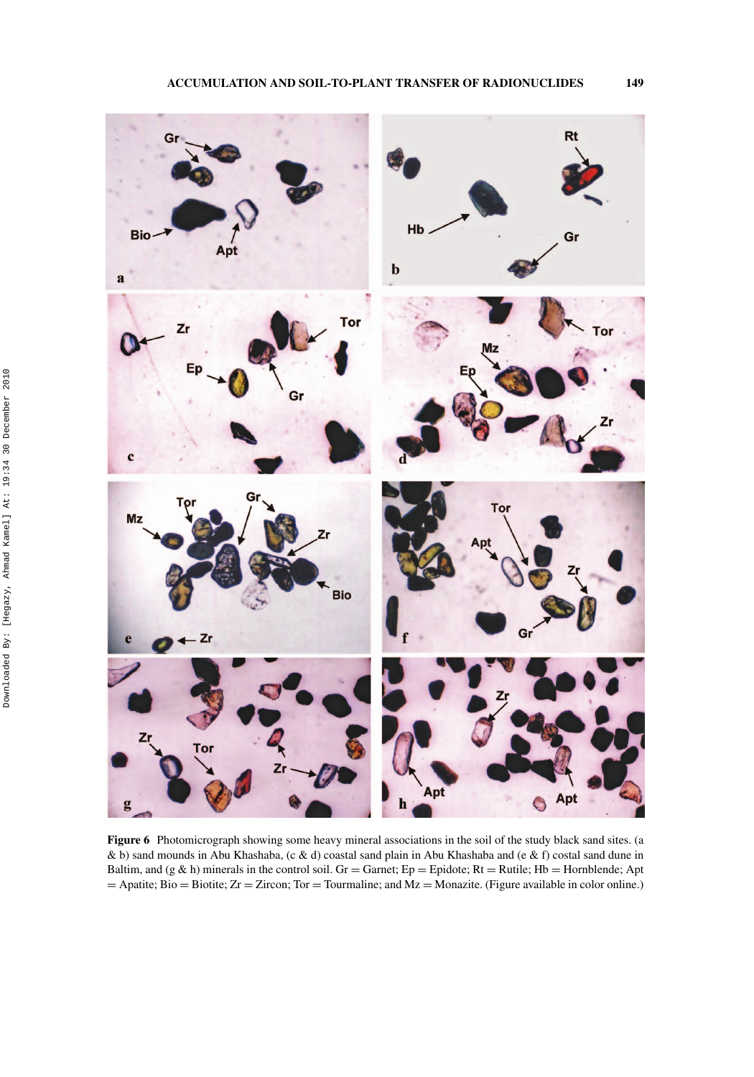

**Figure 6** Photomicrograph showing some heavy mineral associations in the soil of the study black sand sites. (a & b) sand mounds in Abu Khashaba, (c & d) coastal sand plain in Abu Khashaba and (e & f) costal sand dune in Baltim, and (g & h) minerals in the control soil. Gr = Garnet;  $Ep = Epidote$ ; Rt = Rutile; Hb = Hornblende; Apt  $=$  Apatite; Bio = Biotite; Zr = Zircon; Tor = Tourmaline; and Mz = Monazite. (Figure available in color online.)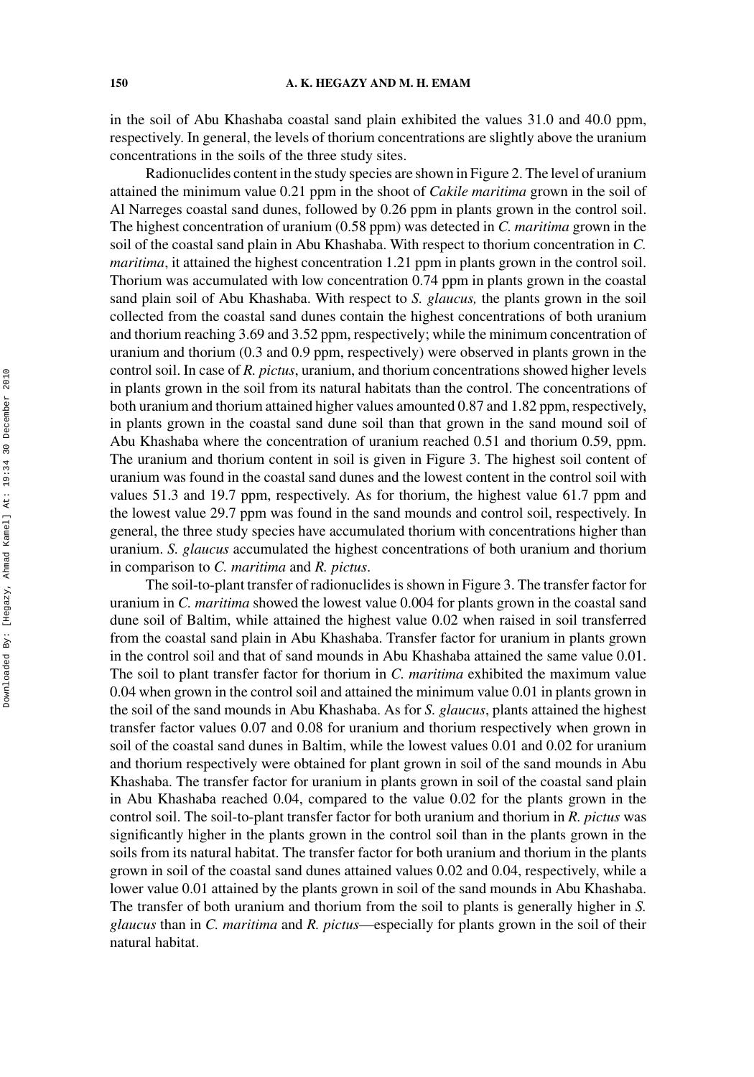in the soil of Abu Khashaba coastal sand plain exhibited the values 31.0 and 40.0 ppm, respectively. In general, the levels of thorium concentrations are slightly above the uranium concentrations in the soils of the three study sites.

Radionuclides content in the study species are shown in Figure 2. The level of uranium attained the minimum value 0.21 ppm in the shoot of *Cakile maritima* grown in the soil of Al Narreges coastal sand dunes, followed by 0.26 ppm in plants grown in the control soil. The highest concentration of uranium (0.58 ppm) was detected in *C. maritima* grown in the soil of the coastal sand plain in Abu Khashaba. With respect to thorium concentration in *C. maritima*, it attained the highest concentration 1.21 ppm in plants grown in the control soil. Thorium was accumulated with low concentration 0.74 ppm in plants grown in the coastal sand plain soil of Abu Khashaba. With respect to *S. glaucus,* the plants grown in the soil collected from the coastal sand dunes contain the highest concentrations of both uranium and thorium reaching 3.69 and 3.52 ppm, respectively; while the minimum concentration of uranium and thorium (0.3 and 0.9 ppm, respectively) were observed in plants grown in the control soil. In case of *R. pictus*, uranium, and thorium concentrations showed higher levels in plants grown in the soil from its natural habitats than the control. The concentrations of both uranium and thorium attained higher values amounted 0.87 and 1.82 ppm, respectively, in plants grown in the coastal sand dune soil than that grown in the sand mound soil of Abu Khashaba where the concentration of uranium reached 0.51 and thorium 0.59, ppm. The uranium and thorium content in soil is given in Figure 3. The highest soil content of uranium was found in the coastal sand dunes and the lowest content in the control soil with values 51.3 and 19.7 ppm, respectively. As for thorium, the highest value 61.7 ppm and the lowest value 29.7 ppm was found in the sand mounds and control soil, respectively. In general, the three study species have accumulated thorium with concentrations higher than uranium. *S. glaucus* accumulated the highest concentrations of both uranium and thorium in comparison to *C. maritima* and *R. pictus*.

The soil-to-plant transfer of radionuclides is shown in Figure 3. The transfer factor for uranium in *C. maritima* showed the lowest value 0.004 for plants grown in the coastal sand dune soil of Baltim, while attained the highest value 0.02 when raised in soil transferred from the coastal sand plain in Abu Khashaba. Transfer factor for uranium in plants grown in the control soil and that of sand mounds in Abu Khashaba attained the same value 0.01. The soil to plant transfer factor for thorium in *C. maritima* exhibited the maximum value 0.04 when grown in the control soil and attained the minimum value 0.01 in plants grown in the soil of the sand mounds in Abu Khashaba. As for *S. glaucus*, plants attained the highest transfer factor values 0.07 and 0.08 for uranium and thorium respectively when grown in soil of the coastal sand dunes in Baltim, while the lowest values 0.01 and 0.02 for uranium and thorium respectively were obtained for plant grown in soil of the sand mounds in Abu Khashaba. The transfer factor for uranium in plants grown in soil of the coastal sand plain in Abu Khashaba reached 0.04, compared to the value 0.02 for the plants grown in the control soil. The soil-to-plant transfer factor for both uranium and thorium in *R. pictus* was significantly higher in the plants grown in the control soil than in the plants grown in the soils from its natural habitat. The transfer factor for both uranium and thorium in the plants grown in soil of the coastal sand dunes attained values 0.02 and 0.04, respectively, while a lower value 0.01 attained by the plants grown in soil of the sand mounds in Abu Khashaba. The transfer of both uranium and thorium from the soil to plants is generally higher in *S. glaucus* than in *C. maritima* and *R. pictus*—especially for plants grown in the soil of their natural habitat.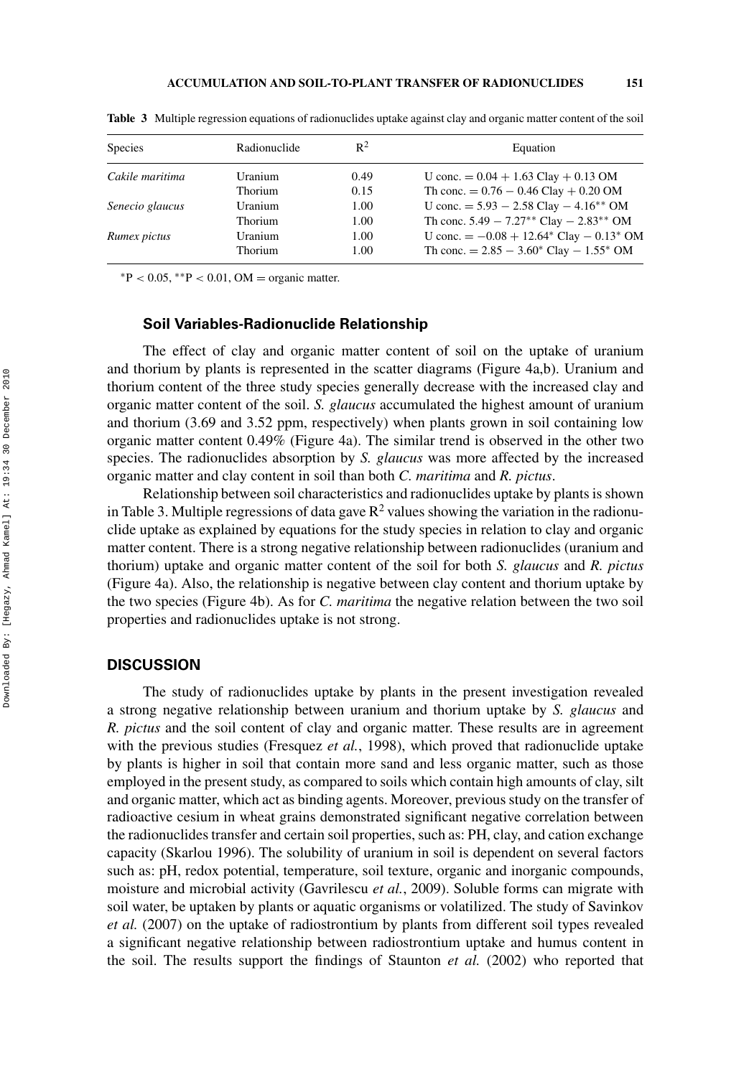| <b>Species</b>  | Radionuclide | $R^2$ | Equation                                                  |
|-----------------|--------------|-------|-----------------------------------------------------------|
| Cakile maritima | Uranium      | 0.49  | U conc. $= 0.04 + 1.63$ Clay $+ 0.13$ OM                  |
|                 | Thorium      | 0.15  | Th conc. $= 0.76 - 0.46$ Clay $+ 0.20$ OM                 |
| Senecio glaucus | Uranium      | 1.00  | U conc. $= 5.93 - 2.58$ Clay $- 4.16^{**}$ OM             |
|                 | Thorium      | 1.00  | Th conc. $5.49 - 7.27**$ Clay $- 2.83**$ OM               |
| Rumex pictus    | Uranium      | 1.00  | U conc. $= -0.08 + 12.64$ Clay $- 0.13$ OM                |
|                 | Thorium      | 1.00  | Th conc. $= 2.85 - 3.60^{\circ}$ Clay $- 1.55^{\circ}$ OM |

**Table 3** Multiple regression equations of radionuclides uptake against clay and organic matter content of the soil

<sup>∗</sup>P *<* 0.05, ∗∗P *<* 0.01, OM = organic matter.

## **Soil Variables-Radionuclide Relationship**

The effect of clay and organic matter content of soil on the uptake of uranium and thorium by plants is represented in the scatter diagrams (Figure 4a,b). Uranium and thorium content of the three study species generally decrease with the increased clay and organic matter content of the soil. *S. glaucus* accumulated the highest amount of uranium and thorium (3.69 and 3.52 ppm, respectively) when plants grown in soil containing low organic matter content 0.49% (Figure 4a). The similar trend is observed in the other two species. The radionuclides absorption by *S. glaucus* was more affected by the increased organic matter and clay content in soil than both *C. maritima* and *R. pictus*.

Relationship between soil characteristics and radionuclides uptake by plants is shown in Table 3. Multiple regressions of data gave  $R^2$  values showing the variation in the radionuclide uptake as explained by equations for the study species in relation to clay and organic matter content. There is a strong negative relationship between radionuclides (uranium and thorium) uptake and organic matter content of the soil for both *S. glaucus* and *R. pictus* (Figure 4a). Also, the relationship is negative between clay content and thorium uptake by the two species (Figure 4b). As for *C. maritima* the negative relation between the two soil properties and radionuclides uptake is not strong.

#### **DISCUSSION**

The study of radionuclides uptake by plants in the present investigation revealed a strong negative relationship between uranium and thorium uptake by *S. glaucus* and *R. pictus* and the soil content of clay and organic matter. These results are in agreement with the previous studies (Fresquez *et al.*, 1998), which proved that radionuclide uptake by plants is higher in soil that contain more sand and less organic matter, such as those employed in the present study, as compared to soils which contain high amounts of clay, silt and organic matter, which act as binding agents. Moreover, previous study on the transfer of radioactive cesium in wheat grains demonstrated significant negative correlation between the radionuclides transfer and certain soil properties, such as: PH, clay, and cation exchange capacity (Skarlou 1996). The solubility of uranium in soil is dependent on several factors such as: pH, redox potential, temperature, soil texture, organic and inorganic compounds, moisture and microbial activity (Gavrilescu *et al.*, 2009). Soluble forms can migrate with soil water, be uptaken by plants or aquatic organisms or volatilized. The study of Savinkov *et al.* (2007) on the uptake of radiostrontium by plants from different soil types revealed a significant negative relationship between radiostrontium uptake and humus content in the soil. The results support the findings of Staunton *et al.* (2002) who reported that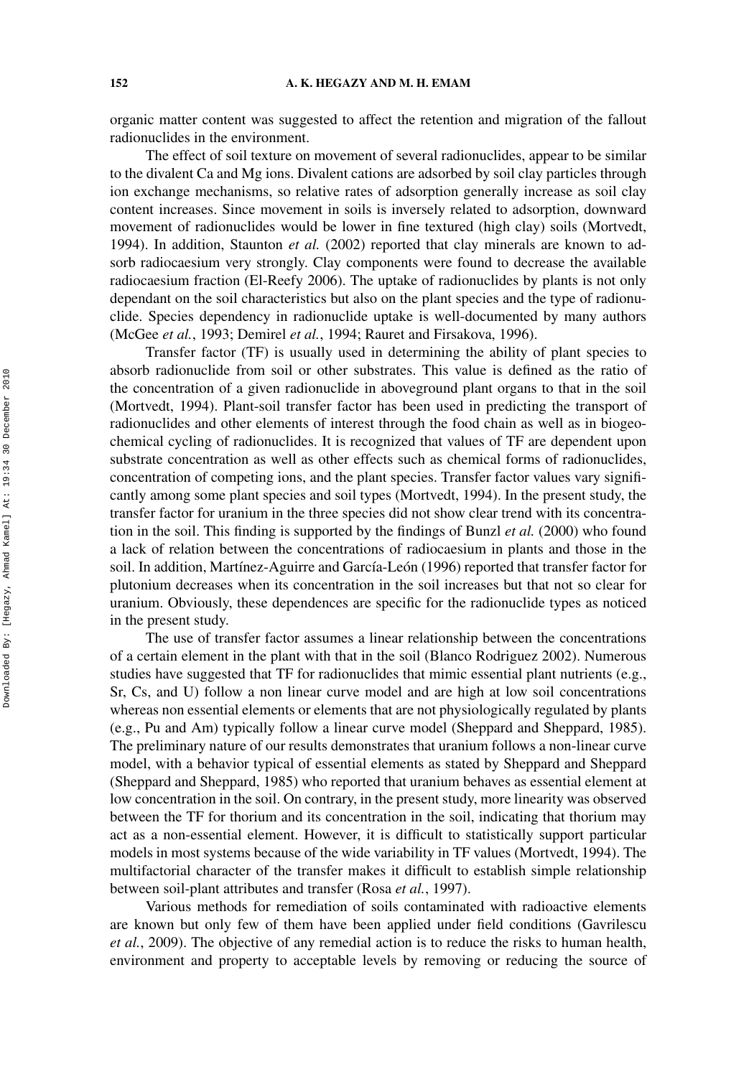organic matter content was suggested to affect the retention and migration of the fallout radionuclides in the environment.

The effect of soil texture on movement of several radionuclides, appear to be similar to the divalent Ca and Mg ions. Divalent cations are adsorbed by soil clay particles through ion exchange mechanisms, so relative rates of adsorption generally increase as soil clay content increases. Since movement in soils is inversely related to adsorption, downward movement of radionuclides would be lower in fine textured (high clay) soils (Mortvedt, 1994). In addition, Staunton *et al.* (2002) reported that clay minerals are known to adsorb radiocaesium very strongly. Clay components were found to decrease the available radiocaesium fraction (El-Reefy 2006). The uptake of radionuclides by plants is not only dependant on the soil characteristics but also on the plant species and the type of radionuclide. Species dependency in radionuclide uptake is well-documented by many authors (McGee *et al.*, 1993; Demirel *et al.*, 1994; Rauret and Firsakova, 1996).

Transfer factor (TF) is usually used in determining the ability of plant species to absorb radionuclide from soil or other substrates. This value is defined as the ratio of the concentration of a given radionuclide in aboveground plant organs to that in the soil (Mortvedt, 1994). Plant-soil transfer factor has been used in predicting the transport of radionuclides and other elements of interest through the food chain as well as in biogeochemical cycling of radionuclides. It is recognized that values of TF are dependent upon substrate concentration as well as other effects such as chemical forms of radionuclides, concentration of competing ions, and the plant species. Transfer factor values vary significantly among some plant species and soil types (Mortvedt, 1994). In the present study, the transfer factor for uranium in the three species did not show clear trend with its concentration in the soil. This finding is supported by the findings of Bunzl *et al.* (2000) who found a lack of relation between the concentrations of radiocaesium in plants and those in the soil. In addition, Martínez-Aguirre and García-León (1996) reported that transfer factor for plutonium decreases when its concentration in the soil increases but that not so clear for uranium. Obviously, these dependences are specific for the radionuclide types as noticed in the present study.

The use of transfer factor assumes a linear relationship between the concentrations of a certain element in the plant with that in the soil (Blanco Rodriguez 2002). Numerous studies have suggested that TF for radionuclides that mimic essential plant nutrients (e.g., Sr, Cs, and U) follow a non linear curve model and are high at low soil concentrations whereas non essential elements or elements that are not physiologically regulated by plants (e.g., Pu and Am) typically follow a linear curve model (Sheppard and Sheppard, 1985). The preliminary nature of our results demonstrates that uranium follows a non-linear curve model, with a behavior typical of essential elements as stated by Sheppard and Sheppard (Sheppard and Sheppard, 1985) who reported that uranium behaves as essential element at low concentration in the soil. On contrary, in the present study, more linearity was observed between the TF for thorium and its concentration in the soil, indicating that thorium may act as a non-essential element. However, it is difficult to statistically support particular models in most systems because of the wide variability in TF values (Mortvedt, 1994). The multifactorial character of the transfer makes it difficult to establish simple relationship between soil-plant attributes and transfer (Rosa *et al.*, 1997).

Various methods for remediation of soils contaminated with radioactive elements are known but only few of them have been applied under field conditions (Gavrilescu *et al.*, 2009). The objective of any remedial action is to reduce the risks to human health, environment and property to acceptable levels by removing or reducing the source of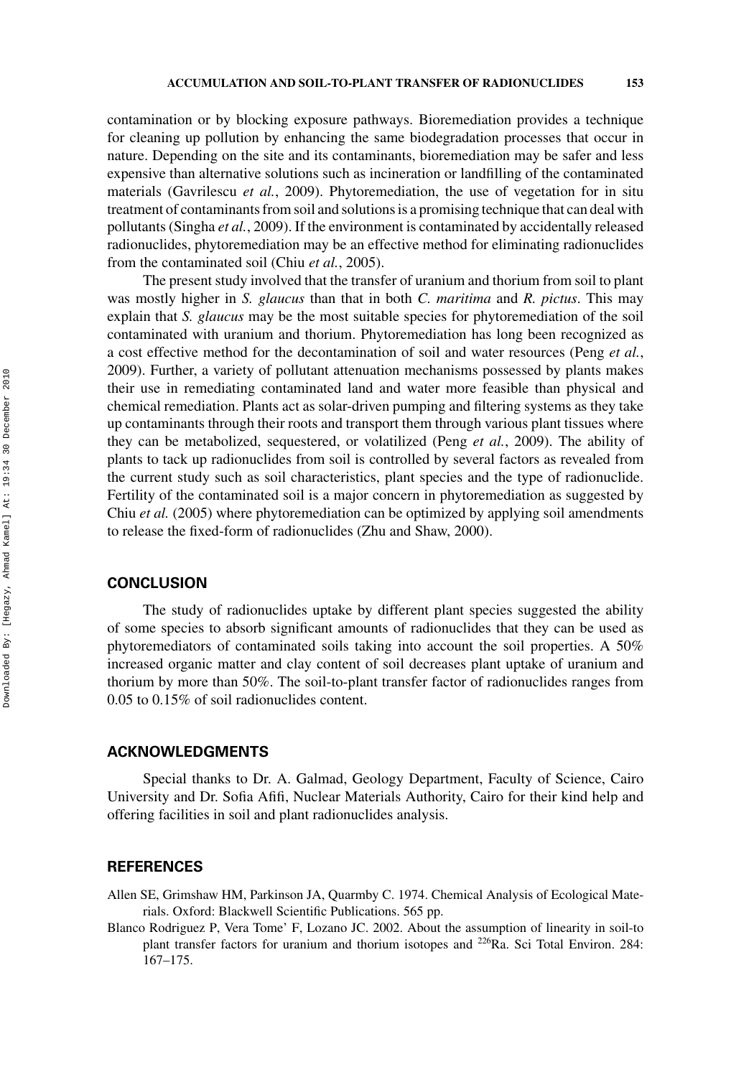contamination or by blocking exposure pathways. Bioremediation provides a technique for cleaning up pollution by enhancing the same biodegradation processes that occur in nature. Depending on the site and its contaminants, bioremediation may be safer and less expensive than alternative solutions such as incineration or landfilling of the contaminated materials (Gavrilescu *et al.*, 2009). Phytoremediation, the use of vegetation for in situ treatment of contaminants from soil and solutions is a promising technique that can deal with pollutants (Singha *et al.*, 2009). If the environment is contaminated by accidentally released radionuclides, phytoremediation may be an effective method for eliminating radionuclides from the contaminated soil (Chiu *et al.*, 2005).

The present study involved that the transfer of uranium and thorium from soil to plant was mostly higher in *S. glaucus* than that in both *C. maritima* and *R. pictus*. This may explain that *S. glaucus* may be the most suitable species for phytoremediation of the soil contaminated with uranium and thorium. Phytoremediation has long been recognized as a cost effective method for the decontamination of soil and water resources (Peng *et al.*, 2009). Further, a variety of pollutant attenuation mechanisms possessed by plants makes their use in remediating contaminated land and water more feasible than physical and chemical remediation. Plants act as solar-driven pumping and filtering systems as they take up contaminants through their roots and transport them through various plant tissues where they can be metabolized, sequestered, or volatilized (Peng *et al.*, 2009). The ability of plants to tack up radionuclides from soil is controlled by several factors as revealed from the current study such as soil characteristics, plant species and the type of radionuclide. Fertility of the contaminated soil is a major concern in phytoremediation as suggested by Chiu *et al.* (2005) where phytoremediation can be optimized by applying soil amendments to release the fixed-form of radionuclides (Zhu and Shaw, 2000).

## **CONCLUSION**

The study of radionuclides uptake by different plant species suggested the ability of some species to absorb significant amounts of radionuclides that they can be used as phytoremediators of contaminated soils taking into account the soil properties. A 50% increased organic matter and clay content of soil decreases plant uptake of uranium and thorium by more than 50%. The soil-to-plant transfer factor of radionuclides ranges from 0.05 to 0.15% of soil radionuclides content.

## **ACKNOWLEDGMENTS**

Special thanks to Dr. A. Galmad, Geology Department, Faculty of Science, Cairo University and Dr. Sofia Afifi, Nuclear Materials Authority, Cairo for their kind help and offering facilities in soil and plant radionuclides analysis.

## **REFERENCES**

Allen SE, Grimshaw HM, Parkinson JA, Quarmby C. 1974. Chemical Analysis of Ecological Materials. Oxford: Blackwell Scientific Publications. 565 pp.

Blanco Rodriguez P, Vera Tome' F, Lozano JC. 2002. About the assumption of linearity in soil-to plant transfer factors for uranium and thorium isotopes and <sup>226</sup>Ra. Sci Total Environ. 284: 167–175.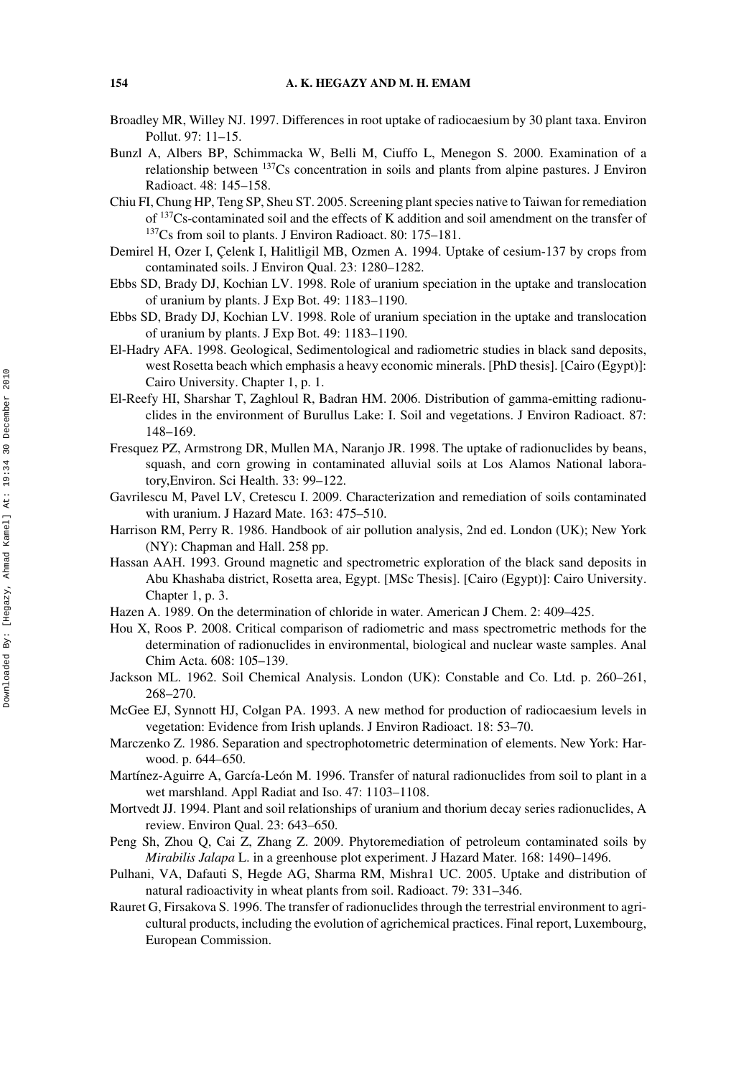- Broadley MR, Willey NJ. 1997. Differences in root uptake of radiocaesium by 30 plant taxa. Environ Pollut. 97: 11–15.
- Bunzl A, Albers BP, Schimmacka W, Belli M, Ciuffo L, Menegon S. 2000. Examination of a relationship between  $137Cs$  concentration in soils and plants from alpine pastures. J Environ Radioact. 48: 145–158.
- Chiu FI, Chung HP, Teng SP, Sheu ST. 2005. Screening plant species native to Taiwan for remediation of 137Cs-contaminated soil and the effects of K addition and soil amendment on the transfer of 137Cs from soil to plants. J Environ Radioact. 80: 175–181.
- Demirel H, Ozer I, Celenk I, Halitligil MB, Ozmen A. 1994. Uptake of cesium-137 by crops from contaminated soils. J Environ Qual. 23: 1280–1282.
- Ebbs SD, Brady DJ, Kochian LV. 1998. Role of uranium speciation in the uptake and translocation of uranium by plants. J Exp Bot. 49: 1183–1190.
- Ebbs SD, Brady DJ, Kochian LV. 1998. Role of uranium speciation in the uptake and translocation of uranium by plants. J Exp Bot. 49: 1183–1190.
- El-Hadry AFA. 1998. Geological, Sedimentological and radiometric studies in black sand deposits, west Rosetta beach which emphasis a heavy economic minerals. [PhD thesis]. [Cairo (Egypt)]: Cairo University. Chapter 1, p. 1.
- El-Reefy HI, Sharshar T, Zaghloul R, Badran HM. 2006. Distribution of gamma-emitting radionuclides in the environment of Burullus Lake: I. Soil and vegetations. J Environ Radioact. 87: 148–169.
- Fresquez PZ, Armstrong DR, Mullen MA, Naranjo JR. 1998. The uptake of radionuclides by beans, squash, and corn growing in contaminated alluvial soils at Los Alamos National laboratory,Environ. Sci Health. 33: 99–122.
- Gavrilescu M, Pavel LV, Cretescu I. 2009. Characterization and remediation of soils contaminated with uranium. J Hazard Mate. 163: 475–510.
- Harrison RM, Perry R. 1986. Handbook of air pollution analysis, 2nd ed. London (UK); New York (NY): Chapman and Hall. 258 pp.
- Hassan AAH. 1993. Ground magnetic and spectrometric exploration of the black sand deposits in Abu Khashaba district, Rosetta area, Egypt. [MSc Thesis]. [Cairo (Egypt)]: Cairo University. Chapter 1, p. 3.
- Hazen A. 1989. On the determination of chloride in water. American J Chem. 2: 409–425.
- Hou X, Roos P. 2008. Critical comparison of radiometric and mass spectrometric methods for the determination of radionuclides in environmental, biological and nuclear waste samples. Anal Chim Acta. 608: 105–139.
- Jackson ML. 1962. Soil Chemical Analysis. London (UK): Constable and Co. Ltd. p. 260–261, 268–270.
- McGee EJ, Synnott HJ, Colgan PA. 1993. A new method for production of radiocaesium levels in vegetation: Evidence from Irish uplands. J Environ Radioact. 18: 53–70.
- Marczenko Z. 1986. Separation and spectrophotometric determination of elements. New York: Harwood. p. 644–650.
- Martínez-Aguirre A, García-León M. 1996. Transfer of natural radionuclides from soil to plant in a wet marshland. Appl Radiat and Iso. 47: 1103–1108.
- Mortvedt JJ. 1994. Plant and soil relationships of uranium and thorium decay series radionuclides, A review. Environ Qual. 23: 643–650.
- Peng Sh, Zhou Q, Cai Z, Zhang Z. 2009. Phytoremediation of petroleum contaminated soils by *Mirabilis Jalapa* L. in a greenhouse plot experiment. J Hazard Mater. 168: 1490–1496.
- Pulhani, VA, Dafauti S, Hegde AG, Sharma RM, Mishra1 UC. 2005. Uptake and distribution of natural radioactivity in wheat plants from soil. Radioact. 79: 331–346.
- Rauret G, Firsakova S. 1996. The transfer of radionuclides through the terrestrial environment to agricultural products, including the evolution of agrichemical practices. Final report, Luxembourg, European Commission.